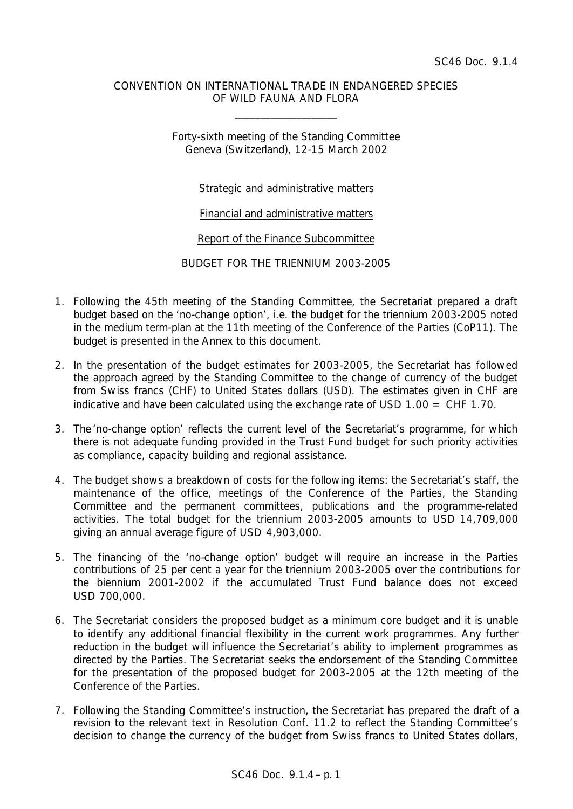## CONVENTION ON INTERNATIONAL TRADE IN ENDANGERED SPECIES OF WILD FAUNA AND FLORA

\_\_\_\_\_\_\_\_\_\_\_\_\_\_\_\_\_\_\_\_

Forty-sixth meeting of the Standing Committee Geneva (Switzerland), 12-15 March 2002

## Strategic and administrative matters

Financial and administrative matters

Report of the Finance Subcommittee

BUDGET FOR THE TRIENNIUM 2003-2005

- 1. Following the 45th meeting of the Standing Committee, the Secretariat prepared a draft budget based on the 'no-change option', i.e. the budget for the triennium 2003-2005 noted in the medium term-plan at the 11th meeting of the Conference of the Parties (CoP11). The budget is presented in the Annex to this document.
- 2. In the presentation of the budget estimates for 2003-2005, the Secretariat has followed the approach agreed by the Standing Committee to the change of currency of the budget from Swiss francs (CHF) to United States dollars (USD). The estimates given in CHF are indicative and have been calculated using the exchange rate of USD 1.00 = CHF 1.70.
- 3. The 'no-change option' reflects the current level of the Secretariat's programme, for which there is not adequate funding provided in the Trust Fund budget for such priority activities as compliance, capacity building and regional assistance.
- 4. The budget shows a breakdown of costs for the following items: the Secretariat's staff, the maintenance of the office, meetings of the Conference of the Parties, the Standing Committee and the permanent committees, publications and the programme-related activities. The total budget for the triennium 2003-2005 amounts to USD 14,709,000 giving an annual average figure of USD 4,903,000.
- 5. The financing of the 'no-change option' budget will require an increase in the Parties contributions of 25 per cent a year for the triennium 2003-2005 over the contributions for the biennium 2001-2002 if the accumulated Trust Fund balance does not exceed USD 700,000.
- 6. The Secretariat considers the proposed budget as a minimum core budget and it is unable to identify any additional financial flexibility in the current work programmes. Any further reduction in the budget will influence the Secretariat's ability to implement programmes as directed by the Parties. The Secretariat seeks the endorsement of the Standing Committee for the presentation of the proposed budget for 2003-2005 at the 12th meeting of the Conference of the Parties.
- 7. Following the Standing Committee's instruction, the Secretariat has prepared the draft of a revision to the relevant text in Resolution Conf. 11.2 to reflect the Standing Committee's decision to change the currency of the budget from Swiss francs to United States dollars,